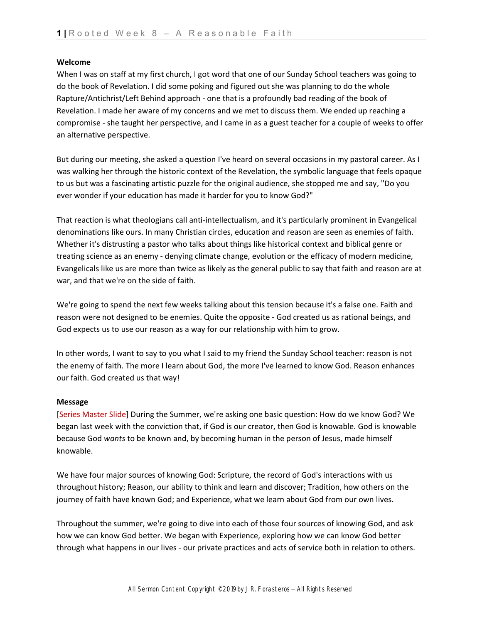### **Welcome**

When I was on staff at my first church, I got word that one of our Sunday School teachers was going to do the book of Revelation. I did some poking and figured out she was planning to do the whole Rapture/Antichrist/Left Behind approach - one that is a profoundly bad reading of the book of Revelation. I made her aware of my concerns and we met to discuss them. We ended up reaching a compromise - she taught her perspective, and I came in as a guest teacher for a couple of weeks to offer an alternative perspective.

But during our meeting, she asked a question I've heard on several occasions in my pastoral career. As I was walking her through the historic context of the Revelation, the symbolic language that feels opaque to us but was a fascinating artistic puzzle for the original audience, she stopped me and say, "Do you ever wonder if your education has made it harder for you to know God?"

That reaction is what theologians call anti-intellectualism, and it's particularly prominent in Evangelical denominations like ours. In many Christian circles, education and reason are seen as enemies of faith. Whether it's distrusting a pastor who talks about things like historical context and biblical genre or treating science as an enemy - denying climate change, evolution or the efficacy of modern medicine, Evangelicals like us are more than twice as likely as the general public to say that faith and reason are at war, and that we're on the side of faith.

We're going to spend the next few weeks talking about this tension because it's a false one. Faith and reason were not designed to be enemies. Quite the opposite - God created us as rational beings, and God expects us to use our reason as a way for our relationship with him to grow.

In other words, I want to say to you what I said to my friend the Sunday School teacher: reason is not the enemy of faith. The more I learn about God, the more I've learned to know God. Reason enhances our faith. God created us that way!

#### **Message**

[Series Master Slide] During the Summer, we're asking one basic question: How do we know God? We began last week with the conviction that, if God is our creator, then God is knowable. God is knowable because God *wants* to be known and, by becoming human in the person of Jesus, made himself knowable.

We have four major sources of knowing God: Scripture, the record of God's interactions with us throughout history; Reason, our ability to think and learn and discover; Tradition, how others on the journey of faith have known God; and Experience, what we learn about God from our own lives.

Throughout the summer, we're going to dive into each of those four sources of knowing God, and ask how we can know God better. We began with Experience, exploring how we can know God better through what happens in our lives - our private practices and acts of service both in relation to others.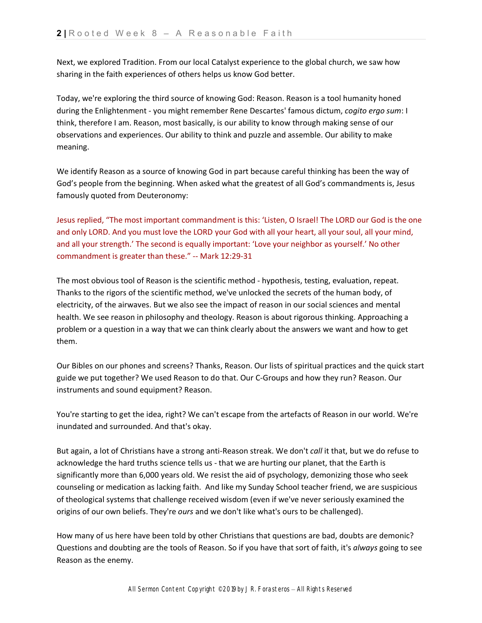Next, we explored Tradition. From our local Catalyst experience to the global church, we saw how sharing in the faith experiences of others helps us know God better.

Today, we're exploring the third source of knowing God: Reason. Reason is a tool humanity honed during the Enlightenment - you might remember Rene Descartes' famous dictum, *cogito ergo sum*: I think, therefore I am. Reason, most basically, is our ability to know through making sense of our observations and experiences. Our ability to think and puzzle and assemble. Our ability to make meaning.

We identify Reason as a source of knowing God in part because careful thinking has been the way of God's people from the beginning. When asked what the greatest of all God's commandments is, Jesus famously quoted from Deuteronomy:

Jesus replied, "The most important commandment is this: 'Listen, O Israel! The LORD our God is the one and only LORD. And you must love the LORD your God with all your heart, all your soul, all your mind, and all your strength.' The second is equally important: 'Love your neighbor as yourself.' No other commandment is greater than these." -- Mark 12:29-31

The most obvious tool of Reason is the scientific method - hypothesis, testing, evaluation, repeat. Thanks to the rigors of the scientific method, we've unlocked the secrets of the human body, of electricity, of the airwaves. But we also see the impact of reason in our social sciences and mental health. We see reason in philosophy and theology. Reason is about rigorous thinking. Approaching a problem or a question in a way that we can think clearly about the answers we want and how to get them.

Our Bibles on our phones and screens? Thanks, Reason. Our lists of spiritual practices and the quick start guide we put together? We used Reason to do that. Our C-Groups and how they run? Reason. Our instruments and sound equipment? Reason.

You're starting to get the idea, right? We can't escape from the artefacts of Reason in our world. We're inundated and surrounded. And that's okay.

But again, a lot of Christians have a strong anti-Reason streak. We don't *call* it that, but we do refuse to acknowledge the hard truths science tells us - that we are hurting our planet, that the Earth is significantly more than 6,000 years old. We resist the aid of psychology, demonizing those who seek counseling or medication as lacking faith. And like my Sunday School teacher friend, we are suspicious of theological systems that challenge received wisdom (even if we've never seriously examined the origins of our own beliefs. They're *ours* and we don't like what's ours to be challenged).

How many of us here have been told by other Christians that questions are bad, doubts are demonic? Questions and doubting are the tools of Reason. So if you have that sort of faith, it's *always* going to see Reason as the enemy.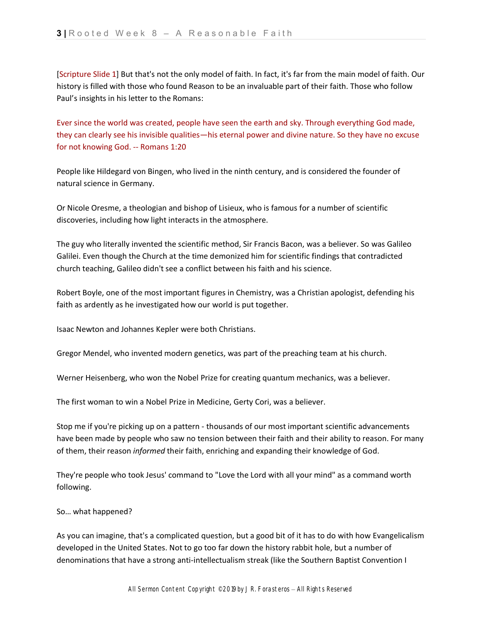[Scripture Slide 1] But that's not the only model of faith. In fact, it's far from the main model of faith. Our history is filled with those who found Reason to be an invaluable part of their faith. Those who follow Paul's insights in his letter to the Romans:

Ever since the world was created, people have seen the earth and sky. Through everything God made, they can clearly see his invisible qualities—his eternal power and divine nature. So they have no excuse for not knowing God. -- Romans 1:20

People like Hildegard von Bingen, who lived in the ninth century, and is considered the founder of natural science in Germany.

Or Nicole Oresme, a theologian and bishop of Lisieux, who is famous for a number of scientific discoveries, including how light interacts in the atmosphere.

The guy who literally invented the scientific method, Sir Francis Bacon, was a believer. So was Galileo Galilei. Even though the Church at the time demonized him for scientific findings that contradicted church teaching, Galileo didn't see a conflict between his faith and his science.

Robert Boyle, one of the most important figures in Chemistry, was a Christian apologist, defending his faith as ardently as he investigated how our world is put together.

Isaac Newton and Johannes Kepler were both Christians.

Gregor Mendel, who invented modern genetics, was part of the preaching team at his church.

Werner Heisenberg, who won the Nobel Prize for creating quantum mechanics, was a believer.

The first woman to win a Nobel Prize in Medicine, Gerty Cori, was a believer.

Stop me if you're picking up on a pattern - thousands of our most important scientific advancements have been made by people who saw no tension between their faith and their ability to reason. For many of them, their reason *informed* their faith, enriching and expanding their knowledge of God.

They're people who took Jesus' command to "Love the Lord with all your mind" as a command worth following.

So… what happened?

As you can imagine, that's a complicated question, but a good bit of it has to do with how Evangelicalism developed in the United States. Not to go too far down the history rabbit hole, but a number of denominations that have a strong anti-intellectualism streak (like the Southern Baptist Convention I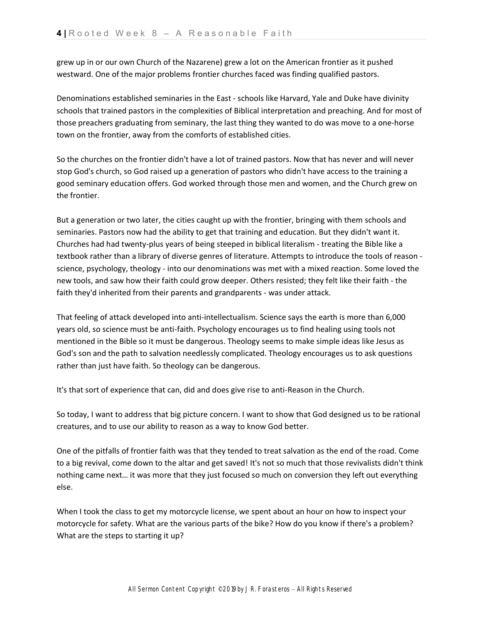grew up in or our own Church of the Nazarene) grew a lot on the American frontier as it pushed westward. One of the major problems frontier churches faced was finding qualified pastors.

Denominations established seminaries in the East - schools like Harvard, Yale and Duke have divinity schools that trained pastors in the complexities of Biblical interpretation and preaching. And for most of those preachers graduating from seminary, the last thing they wanted to do was move to a one-horse town on the frontier, away from the comforts of established cities.

So the churches on the frontier didn't have a lot of trained pastors. Now that has never and will never stop God's church, so God raised up a generation of pastors who didn't have access to the training a good seminary education offers. God worked through those men and women, and the Church grew on the frontier.

But a generation or two later, the cities caught up with the frontier, bringing with them schools and seminaries. Pastors now had the ability to get that training and education. But they didn't want it. Churches had had twenty-plus years of being steeped in biblical literalism - treating the Bible like a textbook rather than a library of diverse genres of literature. Attempts to introduce the tools of reason science, psychology, theology - into our denominations was met with a mixed reaction. Some loved the new tools, and saw how their faith could grow deeper. Others resisted; they felt like their faith - the faith they'd inherited from their parents and grandparents - was under attack.

That feeling of attack developed into anti-intellectualism. Science says the earth is more than 6,000 years old, so science must be anti-faith. Psychology encourages us to find healing using tools not mentioned in the Bible so it must be dangerous. Theology seems to make simple ideas like Jesus as God's son and the path to salvation needlessly complicated. Theology encourages us to ask questions rather than just have faith. So theology can be dangerous.

It's that sort of experience that can, did and does give rise to anti-Reason in the Church.

So today, I want to address that big picture concern. I want to show that God designed us to be rational creatures, and to use our ability to reason as a way to know God better.

One of the pitfalls of frontier faith was that they tended to treat salvation as the end of the road. Come to a big revival, come down to the altar and get saved! It's not so much that those revivalists didn't think nothing came next… it was more that they just focused so much on conversion they left out everything else.

When I took the class to get my motorcycle license, we spent about an hour on how to inspect your motorcycle for safety. What are the various parts of the bike? How do you know if there's a problem? What are the steps to starting it up?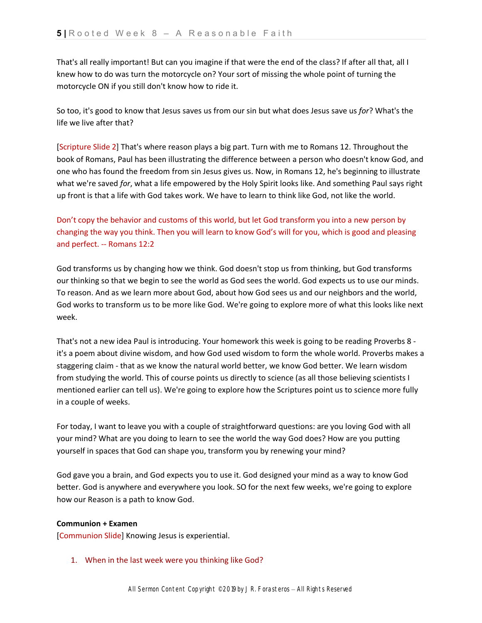That's all really important! But can you imagine if that were the end of the class? If after all that, all I knew how to do was turn the motorcycle on? Your sort of missing the whole point of turning the motorcycle ON if you still don't know how to ride it.

So too, it's good to know that Jesus saves us from our sin but what does Jesus save us *for*? What's the life we live after that?

[Scripture Slide 2] That's where reason plays a big part. Turn with me to Romans 12. Throughout the book of Romans, Paul has been illustrating the difference between a person who doesn't know God, and one who has found the freedom from sin Jesus gives us. Now, in Romans 12, he's beginning to illustrate what we're saved *for*, what a life empowered by the Holy Spirit looks like. And something Paul says right up front is that a life with God takes work. We have to learn to think like God, not like the world.

Don't copy the behavior and customs of this world, but let God transform you into a new person by changing the way you think. Then you will learn to know God's will for you, which is good and pleasing and perfect. -- Romans 12:2

God transforms us by changing how we think. God doesn't stop us from thinking, but God transforms our thinking so that we begin to see the world as God sees the world. God expects us to use our minds. To reason. And as we learn more about God, about how God sees us and our neighbors and the world, God works to transform us to be more like God. We're going to explore more of what this looks like next week.

That's not a new idea Paul is introducing. Your homework this week is going to be reading Proverbs 8 it's a poem about divine wisdom, and how God used wisdom to form the whole world. Proverbs makes a staggering claim - that as we know the natural world better, we know God better. We learn wisdom from studying the world. This of course points us directly to science (as all those believing scientists I mentioned earlier can tell us). We're going to explore how the Scriptures point us to science more fully in a couple of weeks.

For today, I want to leave you with a couple of straightforward questions: are you loving God with all your mind? What are you doing to learn to see the world the way God does? How are you putting yourself in spaces that God can shape you, transform you by renewing your mind?

God gave you a brain, and God expects you to use it. God designed your mind as a way to know God better. God is anywhere and everywhere you look. SO for the next few weeks, we're going to explore how our Reason is a path to know God.

### **Communion + Examen**

[Communion Slide] Knowing Jesus is experiential.

# 1. When in the last week were you thinking like God?